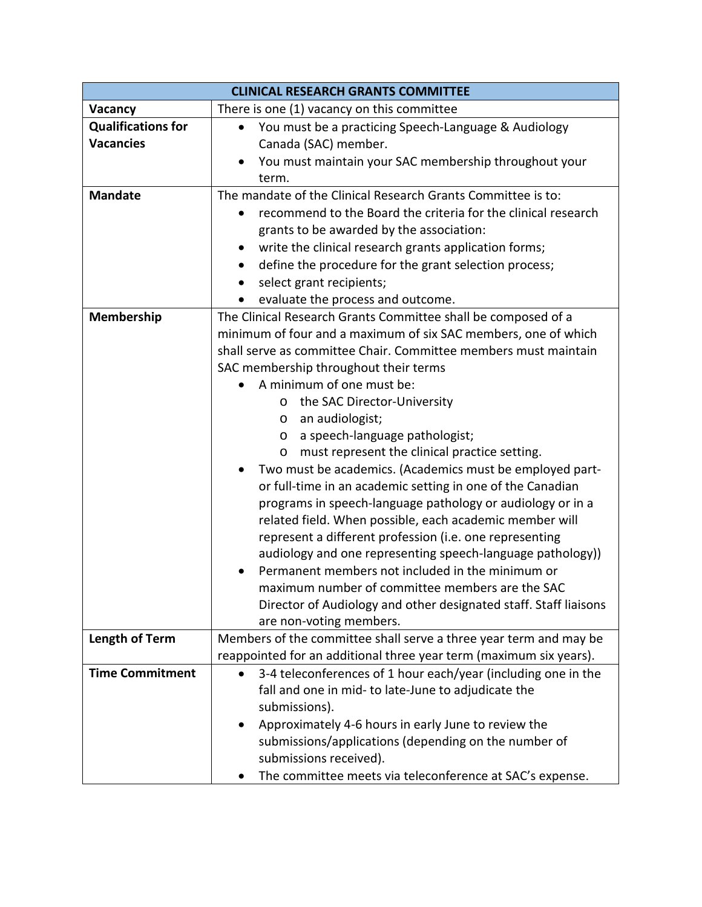| <b>CLINICAL RESEARCH GRANTS COMMITTEE</b>     |                                                                                                                                                                                                                                                                                                                                                                                                                                                                                                                                                                                                                                                                                                                                                                                                                                                                                                                                                                                                                                             |
|-----------------------------------------------|---------------------------------------------------------------------------------------------------------------------------------------------------------------------------------------------------------------------------------------------------------------------------------------------------------------------------------------------------------------------------------------------------------------------------------------------------------------------------------------------------------------------------------------------------------------------------------------------------------------------------------------------------------------------------------------------------------------------------------------------------------------------------------------------------------------------------------------------------------------------------------------------------------------------------------------------------------------------------------------------------------------------------------------------|
| Vacancy                                       | There is one (1) vacancy on this committee                                                                                                                                                                                                                                                                                                                                                                                                                                                                                                                                                                                                                                                                                                                                                                                                                                                                                                                                                                                                  |
| <b>Qualifications for</b><br><b>Vacancies</b> | You must be a practicing Speech-Language & Audiology<br>$\bullet$<br>Canada (SAC) member.<br>You must maintain your SAC membership throughout your<br>term.                                                                                                                                                                                                                                                                                                                                                                                                                                                                                                                                                                                                                                                                                                                                                                                                                                                                                 |
| <b>Mandate</b>                                | The mandate of the Clinical Research Grants Committee is to:<br>recommend to the Board the criteria for the clinical research<br>grants to be awarded by the association:<br>write the clinical research grants application forms;<br>define the procedure for the grant selection process;<br>$\bullet$<br>select grant recipients;<br>evaluate the process and outcome.<br>$\bullet$                                                                                                                                                                                                                                                                                                                                                                                                                                                                                                                                                                                                                                                      |
| Membership                                    | The Clinical Research Grants Committee shall be composed of a<br>minimum of four and a maximum of six SAC members, one of which<br>shall serve as committee Chair. Committee members must maintain<br>SAC membership throughout their terms<br>A minimum of one must be:<br>the SAC Director-University<br>$\circ$<br>an audiologist;<br>$\circ$<br>a speech-language pathologist;<br>$\circ$<br>must represent the clinical practice setting.<br>$\circ$<br>Two must be academics. (Academics must be employed part-<br>or full-time in an academic setting in one of the Canadian<br>programs in speech-language pathology or audiology or in a<br>related field. When possible, each academic member will<br>represent a different profession (i.e. one representing<br>audiology and one representing speech-language pathology))<br>Permanent members not included in the minimum or<br>maximum number of committee members are the SAC<br>Director of Audiology and other designated staff. Staff liaisons<br>are non-voting members. |
| <b>Length of Term</b>                         | Members of the committee shall serve a three year term and may be<br>reappointed for an additional three year term (maximum six years).                                                                                                                                                                                                                                                                                                                                                                                                                                                                                                                                                                                                                                                                                                                                                                                                                                                                                                     |
| <b>Time Commitment</b>                        | 3-4 teleconferences of 1 hour each/year (including one in the<br>fall and one in mid- to late-June to adjudicate the<br>submissions).<br>Approximately 4-6 hours in early June to review the<br>$\bullet$<br>submissions/applications (depending on the number of<br>submissions received).<br>The committee meets via teleconference at SAC's expense.                                                                                                                                                                                                                                                                                                                                                                                                                                                                                                                                                                                                                                                                                     |